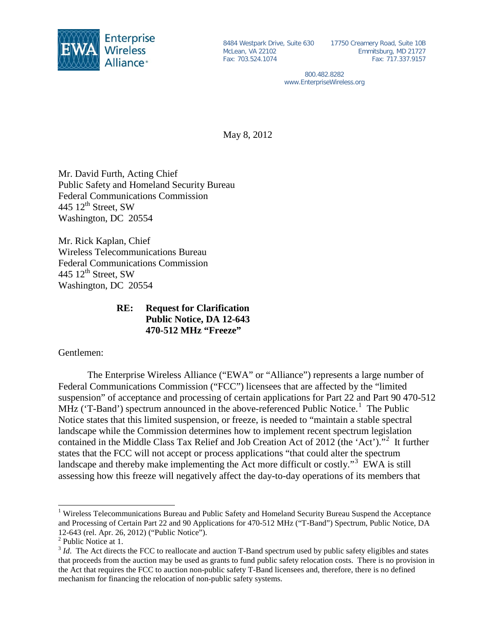

8484 Westpark Drive, Suite 630 McLean, VA 22102 Fax: 703.524.1074

17750 Creamery Road, Suite 10B Emmitsburg, MD 21727 Fax: 717.337.9157

800.482.8282 www.EnterpriseWireless.org

May 8, 2012

Mr. David Furth, Acting Chief Public Safety and Homeland Security Bureau Federal Communications Commission 445  $12<sup>th</sup>$  Street, SW Washington, DC 20554

Mr. Rick Kaplan, Chief Wireless Telecommunications Bureau Federal Communications Commission 445  $12<sup>th</sup>$  Street, SW Washington, DC 20554

## **RE: Request for Clarification Public Notice, DA 12-643 470-512 MHz "Freeze"**

Gentlemen:

The Enterprise Wireless Alliance ("EWA" or "Alliance") represents a large number of Federal Communications Commission ("FCC") licensees that are affected by the "limited suspension" of acceptance and processing of certain applications for Part 22 and Part 90 470-512 MHz ('T-Band') spectrum announced in the above-referenced Public Notice.<sup>[1](#page-0-0)</sup> The Public Notice states that this limited suspension, or freeze, is needed to "maintain a stable spectral landscape while the Commission determines how to implement recent spectrum legislation contained in the Middle Class Tax Relief and Job Creation Act of [2](#page-0-1)012 (the 'Act')."<sup>2</sup> It further states that the FCC will not accept or process applications "that could alter the spectrum landscape and thereby make implementing the Act more difficult or costly."<sup>[3](#page-0-2)</sup> EWA is still assessing how this freeze will negatively affect the day-to-day operations of its members that

<span id="page-0-0"></span><sup>&</sup>lt;sup>1</sup> Wireless Telecommunications Bureau and Public Safety and Homeland Security Bureau Suspend the Acceptance and Processing of Certain Part 22 and 90 Applications for 470-512 MHz ("T-Band") Spectrum, Public Notice, DA 12-643 (rel. Apr. 26, 2012) ("Public Notice").

<span id="page-0-1"></span><sup>2</sup> Public Notice at 1.

<span id="page-0-2"></span><sup>&</sup>lt;sup>3</sup> *Id*. The Act directs the FCC to reallocate and auction T-Band spectrum used by public safety eligibles and states that proceeds from the auction may be used as grants to fund public safety relocation costs. There is no provision in the Act that requires the FCC to auction non-public safety T-Band licensees and, therefore, there is no defined mechanism for financing the relocation of non-public safety systems.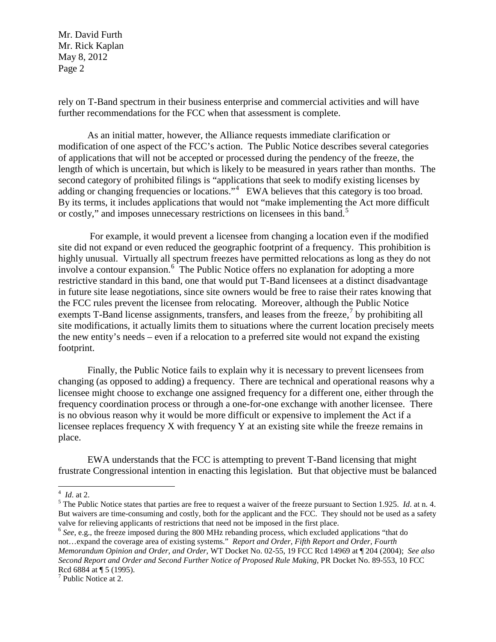Mr. David Furth Mr. Rick Kaplan May 8, 2012 Page 2

rely on T-Band spectrum in their business enterprise and commercial activities and will have further recommendations for the FCC when that assessment is complete.

As an initial matter, however, the Alliance requests immediate clarification or modification of one aspect of the FCC's action. The Public Notice describes several categories of applications that will not be accepted or processed during the pendency of the freeze, the length of which is uncertain, but which is likely to be measured in years rather than months. The second category of prohibited filings is "applications that seek to modify existing licenses by adding or changing frequencies or locations."<sup>[4](#page-1-0)</sup> EWA believes that this category is too broad. By its terms, it includes applications that would not "make implementing the Act more difficult or costly," and imposes unnecessary restrictions on licensees in this band.<sup>[5](#page-1-1)</sup>

For example, it would prevent a licensee from changing a location even if the modified site did not expand or even reduced the geographic footprint of a frequency. This prohibition is highly unusual. Virtually all spectrum freezes have permitted relocations as long as they do not involve a contour expansion.<sup>[6](#page-1-2)</sup> The Public Notice offers no explanation for adopting a more restrictive standard in this band, one that would put T-Band licensees at a distinct disadvantage in future site lease negotiations, since site owners would be free to raise their rates knowing that the FCC rules prevent the licensee from relocating. Moreover, although the Public Notice exempts T-Band license assignments, transfers, and leases from the freeze,  $\frac{1}{2}$  by prohibiting all site modifications, it actually limits them to situations where the current location precisely meets the new entity's needs – even if a relocation to a preferred site would not expand the existing footprint.

Finally, the Public Notice fails to explain why it is necessary to prevent licensees from changing (as opposed to adding) a frequency. There are technical and operational reasons why a licensee might choose to exchange one assigned frequency for a different one, either through the frequency coordination process or through a one-for-one exchange with another licensee. There is no obvious reason why it would be more difficult or expensive to implement the Act if a licensee replaces frequency X with frequency Y at an existing site while the freeze remains in place.

EWA understands that the FCC is attempting to prevent T-Band licensing that might frustrate Congressional intention in enacting this legislation. But that objective must be balanced

<span id="page-1-2"></span><sup>6</sup> See, e.g., the freeze imposed during the 800 MHz rebanding process, which excluded applications "that do not…expand the coverage area of existing systems." *Report and Order, Fifth Report and Order, Fourth Memorandum Opinion and Order, and Order*, WT Docket No. 02-55, 19 FCC Rcd 14969 at ¶ 204 (2004); *See also Second Report and Order and Second Further Notice of Proposed Rule Making,* PR Docket No. 89-553, 10 FCC Rcd 6884 at ¶ 5 (1995).

<span id="page-1-0"></span> $4$  *Id.* at 2.

<span id="page-1-1"></span> $<sup>5</sup>$  The Public Notice states that parties are free to request a waiver of the freeze pursuant to Section 1.925. *Id.* at n. 4.</sup> But waivers are time-consuming and costly, both for the applicant and the FCC. They should not be used as a safety valve for relieving applicants of restrictions that need not be imposed in the first place.

<span id="page-1-3"></span><sup>7</sup> Public Notice at 2.